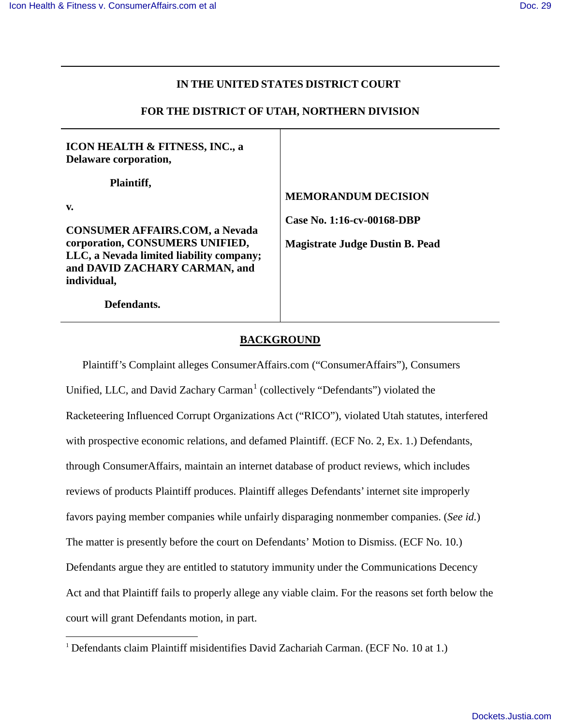# **IN THE UNITED STATES DISTRICT COURT**

# **FOR THE DISTRICT OF UTAH, NORTHERN DIVISION**

**ICON HEALTH & FITNESS, INC., a Delaware corporation,** 

 **Plaintiff,**

**v.** 

**CONSUMER AFFAIRS.COM, a Nevada corporation, CONSUMERS UNIFIED, LLC, a Nevada limited liability company; and DAVID ZACHARY CARMAN, and individual,**

 **Defendants.** 

**MEMORANDUM DECISION** 

**Case No. 1:16-cv-00168-DBP**

**Magistrate Judge Dustin B. Pead** 

### **BACKGROUND**

Plaintiff's Complaint alleges ConsumerAffairs.com ("ConsumerAffairs"), Consumers Unified, LLC, and David Zachary Carman<sup>[1](#page-0-0)</sup> (collectively "Defendants") violated the Racketeering Influenced Corrupt Organizations Act ("RICO"), violated Utah statutes, interfered with prospective economic relations, and defamed Plaintiff. (ECF No. 2, Ex. 1.) Defendants, through ConsumerAffairs, maintain an internet database of product reviews, which includes reviews of products Plaintiff produces. Plaintiff alleges Defendants' internet site improperly favors paying member companies while unfairly disparaging nonmember companies. (*See id.*) The matter is presently before the court on Defendants' Motion to Dismiss. (ECF No. 10.) Defendants argue they are entitled to statutory immunity under the Communications Decency Act and that Plaintiff fails to properly allege any viable claim. For the reasons set forth below the court will grant Defendants motion, in part.

<span id="page-0-0"></span><sup>&</sup>lt;sup>1</sup> Defendants claim Plaintiff misidentifies David Zachariah Carman. (ECF No. 10 at 1.)  $\overline{a}$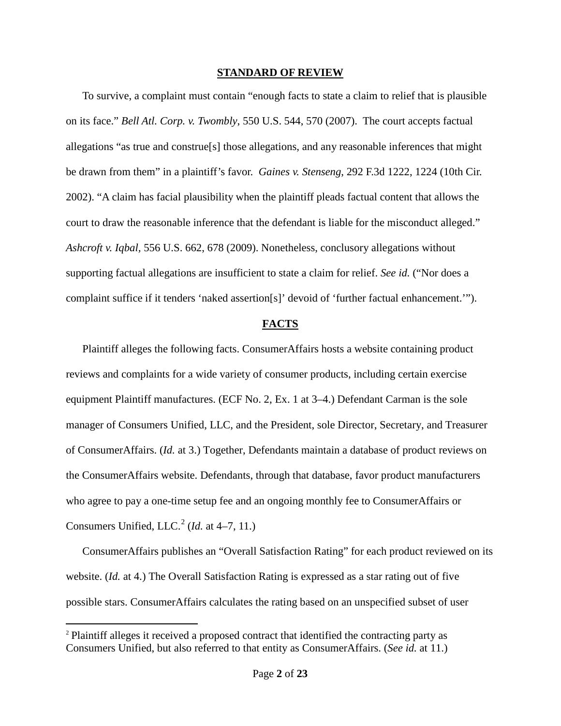#### **STANDARD OF REVIEW**

To survive, a complaint must contain "enough facts to state a claim to relief that is plausible on its face." *Bell Atl. Corp. v. Twombly*, 550 U.S. 544, 570 (2007). The court accepts factual allegations "as true and construe[s] those allegations, and any reasonable inferences that might be drawn from them" in a plaintiff's favor. *Gaines v. Stenseng*, 292 F.3d 1222, 1224 (10th Cir. 2002). "A claim has facial plausibility when the plaintiff pleads factual content that allows the court to draw the reasonable inference that the defendant is liable for the misconduct alleged." *Ashcroft v. Iqbal,* 556 U.S. 662, 678 (2009). Nonetheless, conclusory allegations without supporting factual allegations are insufficient to state a claim for relief. *See id.* ("Nor does a complaint suffice if it tenders 'naked assertion[s]' devoid of 'further factual enhancement.'").

### **FACTS**

Plaintiff alleges the following facts. ConsumerAffairs hosts a website containing product reviews and complaints for a wide variety of consumer products, including certain exercise equipment Plaintiff manufactures. (ECF No. 2, Ex. 1 at 3–4.) Defendant Carman is the sole manager of Consumers Unified, LLC, and the President, sole Director, Secretary, and Treasurer of ConsumerAffairs. (*Id.* at 3.) Together, Defendants maintain a database of product reviews on the ConsumerAffairs website. Defendants, through that database, favor product manufacturers who agree to pay a one-time setup fee and an ongoing monthly fee to ConsumerAffairs or Consumers Unified, LLC.<sup>[2](#page-1-0)</sup> (*Id.* at 4–7, 11.)

ConsumerAffairs publishes an "Overall Satisfaction Rating" for each product reviewed on its website. (*Id.* at 4.) The Overall Satisfaction Rating is expressed as a star rating out of five possible stars. ConsumerAffairs calculates the rating based on an unspecified subset of user

<u>.</u>

<span id="page-1-0"></span><sup>2</sup> Plaintiff alleges it received a proposed contract that identified the contracting party as Consumers Unified, but also referred to that entity as ConsumerAffairs. (*See id.* at 11.)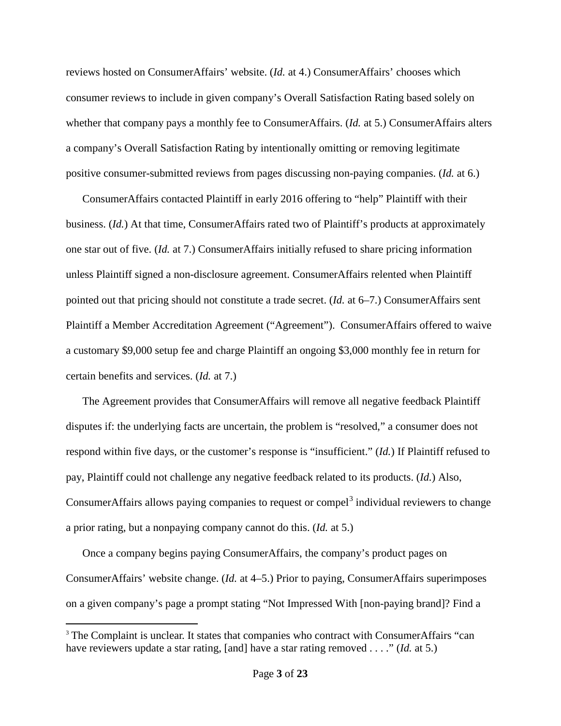reviews hosted on ConsumerAffairs' website. (*Id.* at 4.) ConsumerAffairs' chooses which consumer reviews to include in given company's Overall Satisfaction Rating based solely on whether that company pays a monthly fee to ConsumerAffairs. (*Id.* at 5.) ConsumerAffairs alters a company's Overall Satisfaction Rating by intentionally omitting or removing legitimate positive consumer-submitted reviews from pages discussing non-paying companies. (*Id.* at 6.)

ConsumerAffairs contacted Plaintiff in early 2016 offering to "help" Plaintiff with their business. (*Id.*) At that time, ConsumerAffairs rated two of Plaintiff's products at approximately one star out of five. (*Id.* at 7.) ConsumerAffairs initially refused to share pricing information unless Plaintiff signed a non-disclosure agreement. ConsumerAffairs relented when Plaintiff pointed out that pricing should not constitute a trade secret. (*Id.* at 6–7.) ConsumerAffairs sent Plaintiff a Member Accreditation Agreement ("Agreement"). ConsumerAffairs offered to waive a customary \$9,000 setup fee and charge Plaintiff an ongoing \$3,000 monthly fee in return for certain benefits and services. (*Id.* at 7.)

The Agreement provides that ConsumerAffairs will remove all negative feedback Plaintiff disputes if: the underlying facts are uncertain, the problem is "resolved," a consumer does not respond within five days, or the customer's response is "insufficient." (*Id.*) If Plaintiff refused to pay, Plaintiff could not challenge any negative feedback related to its products. (*Id.*) Also, ConsumerAffairs allows paying companies to request or compel $3$  individual reviewers to change a prior rating, but a nonpaying company cannot do this. (*Id.* at 5.)

Once a company begins paying ConsumerAffairs, the company's product pages on ConsumerAffairs' website change. (*Id.* at 4–5.) Prior to paying, ConsumerAffairs superimposes on a given company's page a prompt stating "Not Impressed With [non-paying brand]? Find a

 $\overline{a}$ 

<span id="page-2-0"></span><sup>&</sup>lt;sup>3</sup> The Complaint is unclear. It states that companies who contract with ConsumerAffairs "can have reviewers update a star rating, [and] have a star rating removed . . . ." (*Id.* at 5.)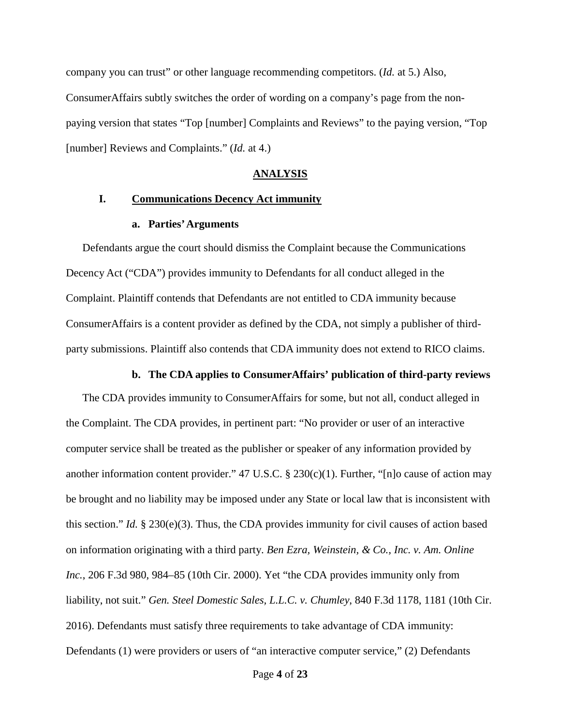company you can trust" or other language recommending competitors. (*Id.* at 5.) Also, ConsumerAffairs subtly switches the order of wording on a company's page from the nonpaying version that states "Top [number] Complaints and Reviews" to the paying version, "Top [number] Reviews and Complaints." (*Id.* at 4.)

#### **ANALYSIS**

# **I. Communications Decency Act immunity**

#### **a. Parties' Arguments**

Defendants argue the court should dismiss the Complaint because the Communications Decency Act ("CDA") provides immunity to Defendants for all conduct alleged in the Complaint. Plaintiff contends that Defendants are not entitled to CDA immunity because ConsumerAffairs is a content provider as defined by the CDA, not simply a publisher of thirdparty submissions. Plaintiff also contends that CDA immunity does not extend to RICO claims.

#### **b. The CDA applies to ConsumerAffairs' publication of third-party reviews**

The CDA provides immunity to ConsumerAffairs for some, but not all, conduct alleged in the Complaint. The CDA provides, in pertinent part: "No provider or user of an interactive computer service shall be treated as the publisher or speaker of any information provided by another information content provider." 47 U.S.C. § 230(c)(1). Further, "[n]o cause of action may be brought and no liability may be imposed under any State or local law that is inconsistent with this section." *Id.* § 230(e)(3). Thus, the CDA provides immunity for civil causes of action based on information originating with a third party. *Ben Ezra, Weinstein, & Co., Inc. v. Am. Online Inc.*, 206 F.3d 980, 984–85 (10th Cir. 2000). Yet "the CDA provides immunity only from liability, not suit." *Gen. Steel Domestic Sales, L.L.C. v. Chumley*, 840 F.3d 1178, 1181 (10th Cir. 2016). Defendants must satisfy three requirements to take advantage of CDA immunity: Defendants (1) were providers or users of "an interactive computer service," (2) Defendants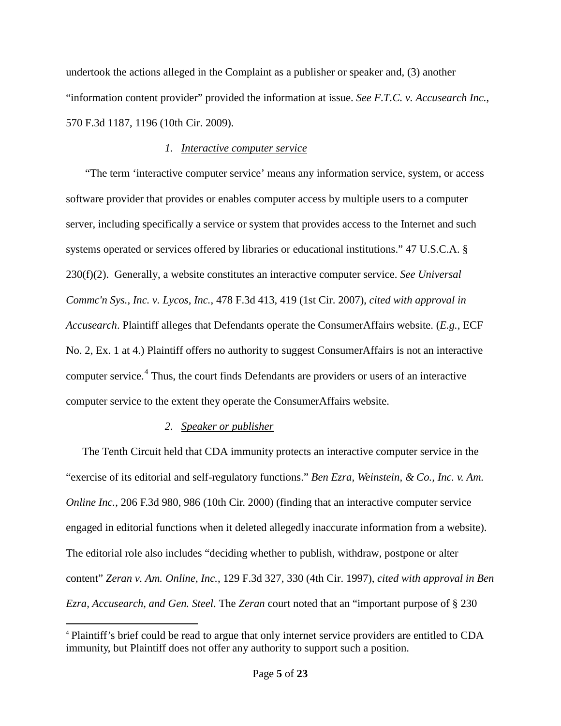undertook the actions alleged in the Complaint as a publisher or speaker and, (3) another "information content provider" provided the information at issue. *See F.T.C. v. Accusearch Inc.*, 570 F.3d 1187, 1196 (10th Cir. 2009).

# *1. Interactive computer service*

 "The term 'interactive computer service' means any information service, system, or access software provider that provides or enables computer access by multiple users to a computer server, including specifically a service or system that provides access to the Internet and such systems operated or services offered by libraries or educational institutions." 47 U.S.C.A. § 230(f)(2). Generally, a website constitutes an interactive computer service. *See Universal Commc'n Sys., Inc. v. Lycos, Inc.*, 478 F.3d 413, 419 (1st Cir. 2007), *cited with approval in Accusearch*. Plaintiff alleges that Defendants operate the ConsumerAffairs website. (*E.g.*, ECF No. 2, Ex. 1 at 4.) Plaintiff offers no authority to suggest ConsumerAffairs is not an interactive computer service.<sup>[4](#page-4-0)</sup> Thus, the court finds Defendants are providers or users of an interactive computer service to the extent they operate the ConsumerAffairs website.

# *2. Speaker or publisher*

 $\overline{a}$ 

The Tenth Circuit held that CDA immunity protects an interactive computer service in the "exercise of its editorial and self-regulatory functions." *Ben Ezra, Weinstein, & Co., Inc. v. Am. Online Inc.*, 206 F.3d 980, 986 (10th Cir. 2000) (finding that an interactive computer service engaged in editorial functions when it deleted allegedly inaccurate information from a website). The editorial role also includes "deciding whether to publish, withdraw, postpone or alter content" *Zeran v. Am. Online, Inc.*, 129 F.3d 327, 330 (4th Cir. 1997), *cited with approval in Ben Ezra, Accusearch, and Gen. Steel*. The *Zeran* court noted that an "important purpose of § 230

<span id="page-4-0"></span><sup>4</sup> Plaintiff's brief could be read to argue that only internet service providers are entitled to CDA immunity, but Plaintiff does not offer any authority to support such a position.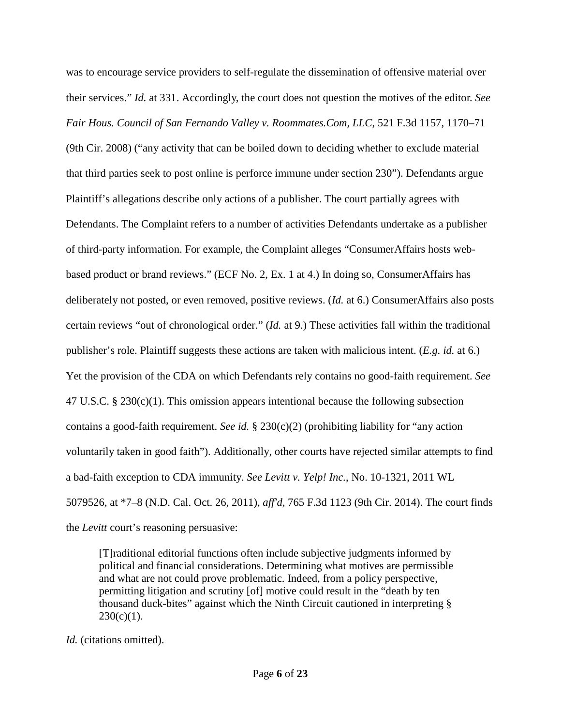was to encourage service providers to self-regulate the dissemination of offensive material over their services." *Id.* at 331. Accordingly, the court does not question the motives of the editor. *See Fair Hous. Council of San Fernando Valley v. Roommates.Com, LLC*, 521 F.3d 1157, 1170–71 (9th Cir. 2008) ("any activity that can be boiled down to deciding whether to exclude material that third parties seek to post online is perforce immune under section 230"). Defendants argue Plaintiff's allegations describe only actions of a publisher. The court partially agrees with Defendants. The Complaint refers to a number of activities Defendants undertake as a publisher of third-party information. For example, the Complaint alleges "ConsumerAffairs hosts webbased product or brand reviews." (ECF No. 2, Ex. 1 at 4.) In doing so, ConsumerAffairs has deliberately not posted, or even removed, positive reviews. (*Id.* at 6.) ConsumerAffairs also posts certain reviews "out of chronological order." (*Id.* at 9.) These activities fall within the traditional publisher's role. Plaintiff suggests these actions are taken with malicious intent. (*E.g. id.* at 6.) Yet the provision of the CDA on which Defendants rely contains no good-faith requirement. *See* 47 U.S.C.  $\S 230(c)(1)$ . This omission appears intentional because the following subsection contains a good-faith requirement. *See id.* § 230(c)(2) (prohibiting liability for "any action voluntarily taken in good faith"). Additionally, other courts have rejected similar attempts to find a bad-faith exception to CDA immunity. *See Levitt v. Yelp! Inc.*, No. 10-1321, 2011 WL 5079526, at \*7–8 (N.D. Cal. Oct. 26, 2011), *aff'd,* 765 F.3d 1123 (9th Cir. 2014). The court finds the *Levitt* court's reasoning persuasive:

[T]raditional editorial functions often include subjective judgments informed by political and financial considerations. Determining what motives are permissible and what are not could prove problematic. Indeed, from a policy perspective, permitting litigation and scrutiny [of] motive could result in the "death by ten thousand duck-bites" against which the Ninth Circuit cautioned in interpreting §  $230(c)(1)$ .

*Id.* (citations omitted).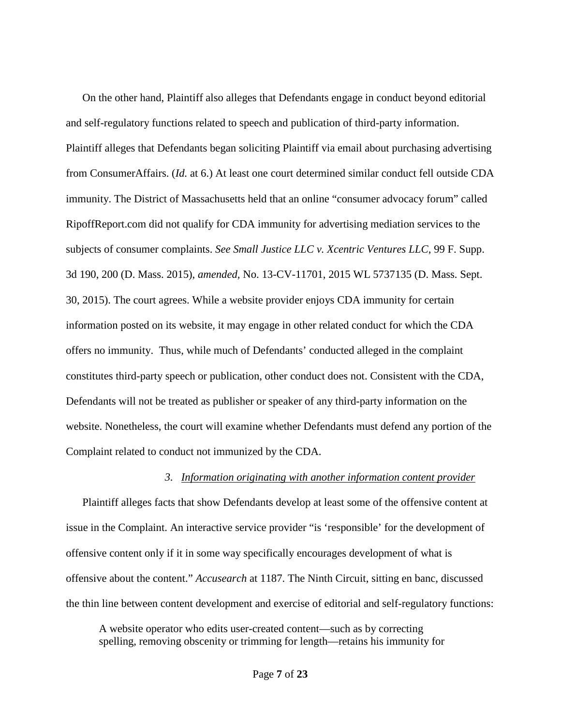On the other hand, Plaintiff also alleges that Defendants engage in conduct beyond editorial and self-regulatory functions related to speech and publication of third-party information. Plaintiff alleges that Defendants began soliciting Plaintiff via email about purchasing advertising from ConsumerAffairs. (*Id.* at 6.) At least one court determined similar conduct fell outside CDA immunity. The District of Massachusetts held that an online "consumer advocacy forum" called RipoffReport.com did not qualify for CDA immunity for advertising mediation services to the subjects of consumer complaints. *See Small Justice LLC v. Xcentric Ventures LLC*, 99 F. Supp. 3d 190, 200 (D. Mass. 2015), *amended,* No. 13-CV-11701, 2015 WL 5737135 (D. Mass. Sept. 30, 2015). The court agrees. While a website provider enjoys CDA immunity for certain information posted on its website, it may engage in other related conduct for which the CDA offers no immunity. Thus, while much of Defendants' conducted alleged in the complaint constitutes third-party speech or publication, other conduct does not. Consistent with the CDA, Defendants will not be treated as publisher or speaker of any third-party information on the website. Nonetheless, the court will examine whether Defendants must defend any portion of the Complaint related to conduct not immunized by the CDA.

#### *3. Information originating with another information content provider*

Plaintiff alleges facts that show Defendants develop at least some of the offensive content at issue in the Complaint. An interactive service provider "is 'responsible' for the development of offensive content only if it in some way specifically encourages development of what is offensive about the content." *Accusearch* at 1187. The Ninth Circuit, sitting en banc, discussed the thin line between content development and exercise of editorial and self-regulatory functions:

A website operator who edits user-created content—such as by correcting spelling, removing obscenity or trimming for length—retains his immunity for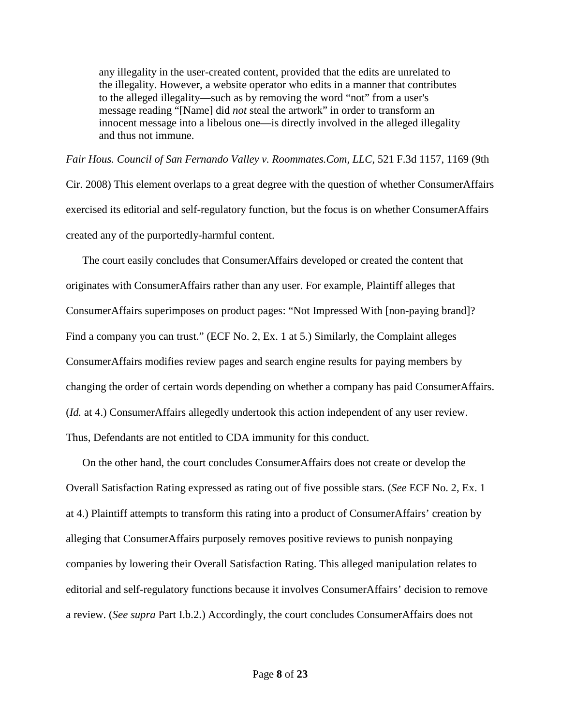any illegality in the user-created content, provided that the edits are unrelated to the illegality. However, a website operator who edits in a manner that contributes to the alleged illegality—such as by removing the word "not" from a user's message reading "[Name] did *not* steal the artwork" in order to transform an innocent message into a libelous one—is directly involved in the alleged illegality and thus not immune.

*Fair Hous. Council of San Fernando Valley v. Roommates.Com, LLC*, 521 F.3d 1157, 1169 (9th Cir. 2008) This element overlaps to a great degree with the question of whether ConsumerAffairs exercised its editorial and self-regulatory function, but the focus is on whether ConsumerAffairs created any of the purportedly-harmful content.

The court easily concludes that ConsumerAffairs developed or created the content that originates with ConsumerAffairs rather than any user. For example, Plaintiff alleges that ConsumerAffairs superimposes on product pages: "Not Impressed With [non-paying brand]? Find a company you can trust." (ECF No. 2, Ex. 1 at 5.) Similarly, the Complaint alleges ConsumerAffairs modifies review pages and search engine results for paying members by changing the order of certain words depending on whether a company has paid ConsumerAffairs. (*Id.* at 4.) ConsumerAffairs allegedly undertook this action independent of any user review. Thus, Defendants are not entitled to CDA immunity for this conduct.

On the other hand, the court concludes ConsumerAffairs does not create or develop the Overall Satisfaction Rating expressed as rating out of five possible stars. (*See* ECF No. 2, Ex. 1 at 4.) Plaintiff attempts to transform this rating into a product of ConsumerAffairs' creation by alleging that ConsumerAffairs purposely removes positive reviews to punish nonpaying companies by lowering their Overall Satisfaction Rating. This alleged manipulation relates to editorial and self-regulatory functions because it involves ConsumerAffairs' decision to remove a review. (*See supra* Part I.b.2.) Accordingly, the court concludes ConsumerAffairs does not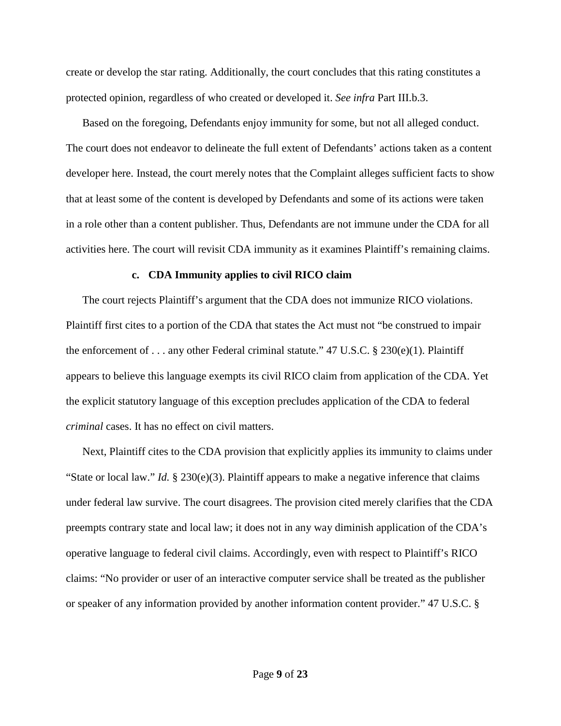create or develop the star rating. Additionally, the court concludes that this rating constitutes a protected opinion, regardless of who created or developed it. *See infra* Part III.b.3.

Based on the foregoing, Defendants enjoy immunity for some, but not all alleged conduct. The court does not endeavor to delineate the full extent of Defendants' actions taken as a content developer here. Instead, the court merely notes that the Complaint alleges sufficient facts to show that at least some of the content is developed by Defendants and some of its actions were taken in a role other than a content publisher. Thus, Defendants are not immune under the CDA for all activities here. The court will revisit CDA immunity as it examines Plaintiff's remaining claims.

### **c. CDA Immunity applies to civil RICO claim**

The court rejects Plaintiff's argument that the CDA does not immunize RICO violations. Plaintiff first cites to a portion of the CDA that states the Act must not "be construed to impair the enforcement of . . . any other Federal criminal statute." 47 U.S.C. § 230(e)(1). Plaintiff appears to believe this language exempts its civil RICO claim from application of the CDA. Yet the explicit statutory language of this exception precludes application of the CDA to federal *criminal* cases. It has no effect on civil matters.

Next, Plaintiff cites to the CDA provision that explicitly applies its immunity to claims under "State or local law." *Id.* § 230(e)(3). Plaintiff appears to make a negative inference that claims under federal law survive. The court disagrees. The provision cited merely clarifies that the CDA preempts contrary state and local law; it does not in any way diminish application of the CDA's operative language to federal civil claims. Accordingly, even with respect to Plaintiff's RICO claims: "No provider or user of an interactive computer service shall be treated as the publisher or speaker of any information provided by another information content provider." 47 U.S.C. §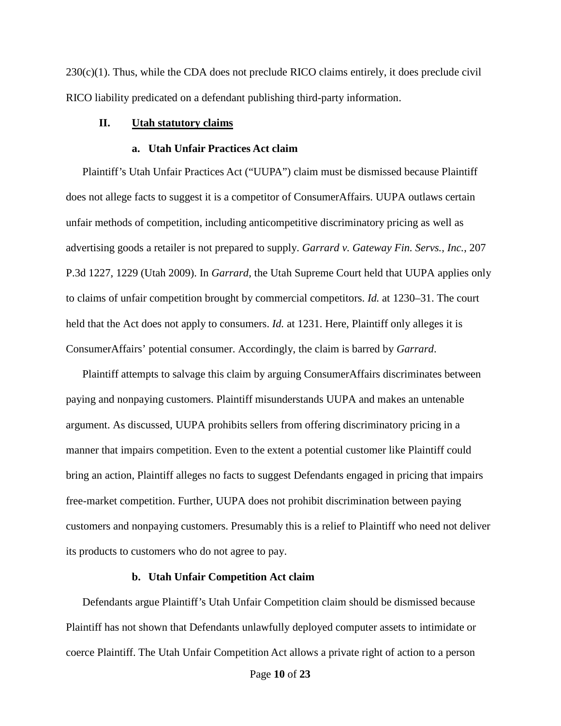$230(c)(1)$ . Thus, while the CDA does not preclude RICO claims entirely, it does preclude civil RICO liability predicated on a defendant publishing third-party information.

# **II. Utah statutory claims**

#### **a. Utah Unfair Practices Act claim**

Plaintiff's Utah Unfair Practices Act ("UUPA") claim must be dismissed because Plaintiff does not allege facts to suggest it is a competitor of ConsumerAffairs. UUPA outlaws certain unfair methods of competition, including anticompetitive discriminatory pricing as well as advertising goods a retailer is not prepared to supply. *Garrard v. Gateway Fin. Servs., Inc.*, 207 P.3d 1227, 1229 (Utah 2009). In *Garrard*, the Utah Supreme Court held that UUPA applies only to claims of unfair competition brought by commercial competitors. *Id.* at 1230–31. The court held that the Act does not apply to consumers. *Id.* at 1231. Here, Plaintiff only alleges it is ConsumerAffairs' potential consumer. Accordingly, the claim is barred by *Garrard*.

Plaintiff attempts to salvage this claim by arguing ConsumerAffairs discriminates between paying and nonpaying customers. Plaintiff misunderstands UUPA and makes an untenable argument. As discussed, UUPA prohibits sellers from offering discriminatory pricing in a manner that impairs competition. Even to the extent a potential customer like Plaintiff could bring an action, Plaintiff alleges no facts to suggest Defendants engaged in pricing that impairs free-market competition. Further, UUPA does not prohibit discrimination between paying customers and nonpaying customers. Presumably this is a relief to Plaintiff who need not deliver its products to customers who do not agree to pay.

# **b. Utah Unfair Competition Act claim**

Defendants argue Plaintiff's Utah Unfair Competition claim should be dismissed because Plaintiff has not shown that Defendants unlawfully deployed computer assets to intimidate or coerce Plaintiff. The Utah Unfair Competition Act allows a private right of action to a person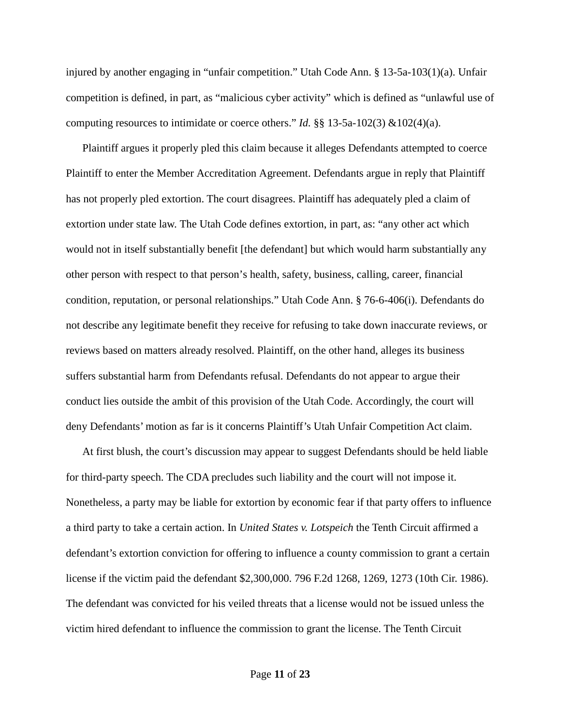injured by another engaging in "unfair competition." Utah Code Ann. § 13-5a-103(1)(a). Unfair competition is defined, in part, as "malicious cyber activity" which is defined as "unlawful use of computing resources to intimidate or coerce others." *Id.*  $\S$  13-5a-102(3) &102(4)(a).

Plaintiff argues it properly pled this claim because it alleges Defendants attempted to coerce Plaintiff to enter the Member Accreditation Agreement. Defendants argue in reply that Plaintiff has not properly pled extortion. The court disagrees. Plaintiff has adequately pled a claim of extortion under state law. The Utah Code defines extortion, in part, as: "any other act which would not in itself substantially benefit [the defendant] but which would harm substantially any other person with respect to that person's health, safety, business, calling, career, financial condition, reputation, or personal relationships." Utah Code Ann. § 76-6-406(i). Defendants do not describe any legitimate benefit they receive for refusing to take down inaccurate reviews, or reviews based on matters already resolved. Plaintiff, on the other hand, alleges its business suffers substantial harm from Defendants refusal. Defendants do not appear to argue their conduct lies outside the ambit of this provision of the Utah Code. Accordingly, the court will deny Defendants' motion as far is it concerns Plaintiff's Utah Unfair Competition Act claim.

At first blush, the court's discussion may appear to suggest Defendants should be held liable for third-party speech. The CDA precludes such liability and the court will not impose it. Nonetheless, a party may be liable for extortion by economic fear if that party offers to influence a third party to take a certain action. In *United States v. Lotspeich* the Tenth Circuit affirmed a defendant's extortion conviction for offering to influence a county commission to grant a certain license if the victim paid the defendant \$2,300,000. 796 F.2d 1268, 1269, 1273 (10th Cir. 1986). The defendant was convicted for his veiled threats that a license would not be issued unless the victim hired defendant to influence the commission to grant the license. The Tenth Circuit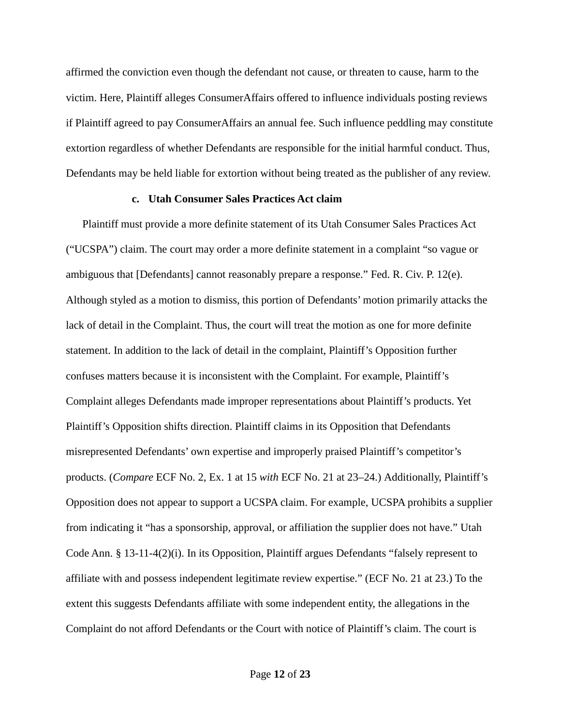affirmed the conviction even though the defendant not cause, or threaten to cause, harm to the victim. Here, Plaintiff alleges ConsumerAffairs offered to influence individuals posting reviews if Plaintiff agreed to pay ConsumerAffairs an annual fee. Such influence peddling may constitute extortion regardless of whether Defendants are responsible for the initial harmful conduct. Thus, Defendants may be held liable for extortion without being treated as the publisher of any review.

## **c. Utah Consumer Sales Practices Act claim**

Plaintiff must provide a more definite statement of its Utah Consumer Sales Practices Act ("UCSPA") claim. The court may order a more definite statement in a complaint "so vague or ambiguous that [Defendants] cannot reasonably prepare a response." Fed. R. Civ. P. 12(e). Although styled as a motion to dismiss, this portion of Defendants' motion primarily attacks the lack of detail in the Complaint. Thus, the court will treat the motion as one for more definite statement. In addition to the lack of detail in the complaint, Plaintiff's Opposition further confuses matters because it is inconsistent with the Complaint. For example, Plaintiff's Complaint alleges Defendants made improper representations about Plaintiff's products. Yet Plaintiff's Opposition shifts direction. Plaintiff claims in its Opposition that Defendants misrepresented Defendants' own expertise and improperly praised Plaintiff's competitor's products. (*Compare* ECF No. 2, Ex. 1 at 15 *with* ECF No. 21 at 23–24.) Additionally, Plaintiff's Opposition does not appear to support a UCSPA claim. For example, UCSPA prohibits a supplier from indicating it "has a sponsorship, approval, or affiliation the supplier does not have." Utah Code Ann. § 13-11-4(2)(i). In its Opposition, Plaintiff argues Defendants "falsely represent to affiliate with and possess independent legitimate review expertise." (ECF No. 21 at 23.) To the extent this suggests Defendants affiliate with some independent entity, the allegations in the Complaint do not afford Defendants or the Court with notice of Plaintiff's claim. The court is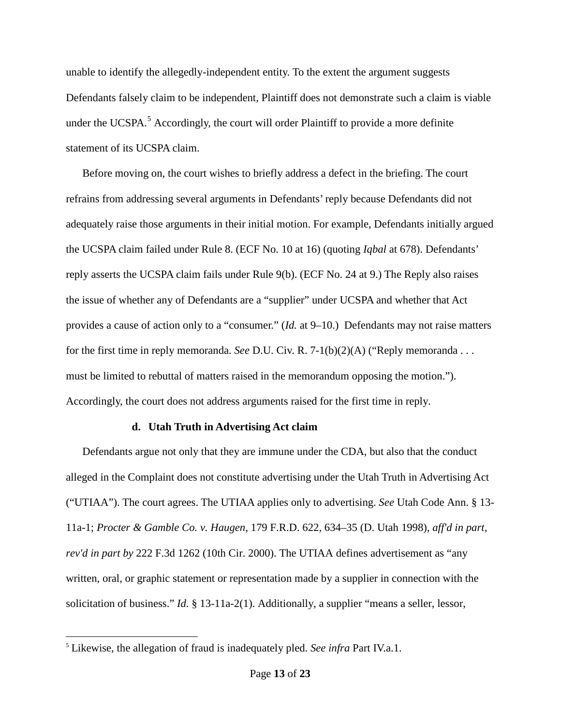unable to identify the allegedly-independent entity. To the extent the argument suggests Defendants falsely claim to be independent, Plaintiff does not demonstrate such a claim is viable under the UCSPA. $5$  Accordingly, the court will order Plaintiff to provide a more definite statement of its UCSPA claim.

Before moving on, the court wishes to briefly address a defect in the briefing. The court refrains from addressing several arguments in Defendants' reply because Defendants did not adequately raise those arguments in their initial motion. For example, Defendants initially argued the UCSPA claim failed under Rule 8. (ECF No. 10 at 16) (quoting *Iqbal* at 678). Defendants' reply asserts the UCSPA claim fails under Rule 9(b). (ECF No. 24 at 9.) The Reply also raises the issue of whether any of Defendants are a "supplier" under UCSPA and whether that Act provides a cause of action only to a "consumer." (*Id.* at 9–10.) Defendants may not raise matters for the first time in reply memoranda. *See* D.U. Civ. R. 7-1(b)(2)(A) ("Reply memoranda . . . must be limited to rebuttal of matters raised in the memorandum opposing the motion."). Accordingly, the court does not address arguments raised for the first time in reply.

### **d. Utah Truth in Advertising Act claim**

Defendants argue not only that they are immune under the CDA, but also that the conduct alleged in the Complaint does not constitute advertising under the Utah Truth in Advertising Act ("UTIAA"). The court agrees. The UTIAA applies only to advertising. *See* Utah Code Ann. § 13- 11a-1; *Procter & Gamble Co. v. Haugen*, 179 F.R.D. 622, 634–35 (D. Utah 1998), *aff'd in part, rev'd in part by* 222 F.3d 1262 (10th Cir. 2000). The UTIAA defines advertisement as "any written, oral, or graphic statement or representation made by a supplier in connection with the solicitation of business." *Id.* § 13-11a-2(1). Additionally, a supplier "means a seller, lessor,

 $\overline{a}$ 

<span id="page-12-0"></span><sup>5</sup> Likewise, the allegation of fraud is inadequately pled. *See infra* Part IV.a.1.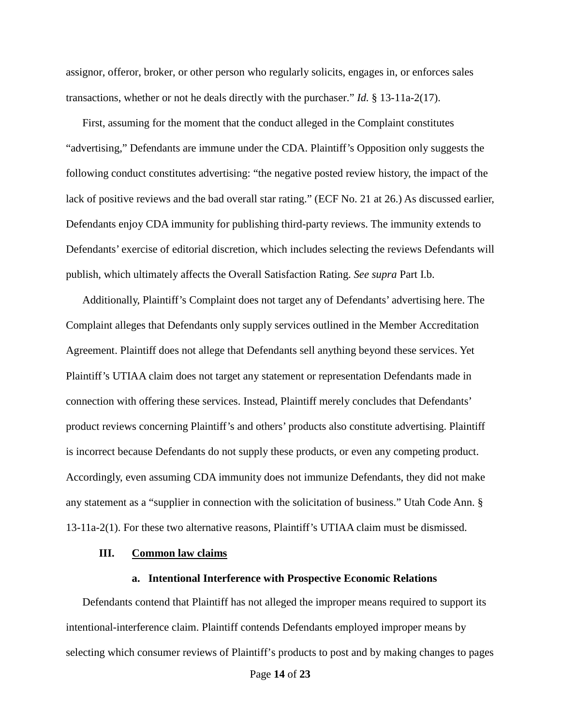assignor, offeror, broker, or other person who regularly solicits, engages in, or enforces sales transactions, whether or not he deals directly with the purchaser." *Id.* § 13-11a-2(17).

First, assuming for the moment that the conduct alleged in the Complaint constitutes "advertising," Defendants are immune under the CDA. Plaintiff's Opposition only suggests the following conduct constitutes advertising: "the negative posted review history, the impact of the lack of positive reviews and the bad overall star rating." (ECF No. 21 at 26.) As discussed earlier, Defendants enjoy CDA immunity for publishing third-party reviews. The immunity extends to Defendants' exercise of editorial discretion, which includes selecting the reviews Defendants will publish, which ultimately affects the Overall Satisfaction Rating. *See supra* Part I.b.

Additionally, Plaintiff's Complaint does not target any of Defendants' advertising here. The Complaint alleges that Defendants only supply services outlined in the Member Accreditation Agreement. Plaintiff does not allege that Defendants sell anything beyond these services. Yet Plaintiff's UTIAA claim does not target any statement or representation Defendants made in connection with offering these services. Instead, Plaintiff merely concludes that Defendants' product reviews concerning Plaintiff's and others' products also constitute advertising. Plaintiff is incorrect because Defendants do not supply these products, or even any competing product. Accordingly, even assuming CDA immunity does not immunize Defendants, they did not make any statement as a "supplier in connection with the solicitation of business." Utah Code Ann. § 13-11a-2(1). For these two alternative reasons, Plaintiff's UTIAA claim must be dismissed.

#### **III. Common law claims**

# **a. Intentional Interference with Prospective Economic Relations**

Defendants contend that Plaintiff has not alleged the improper means required to support its intentional-interference claim. Plaintiff contends Defendants employed improper means by selecting which consumer reviews of Plaintiff's products to post and by making changes to pages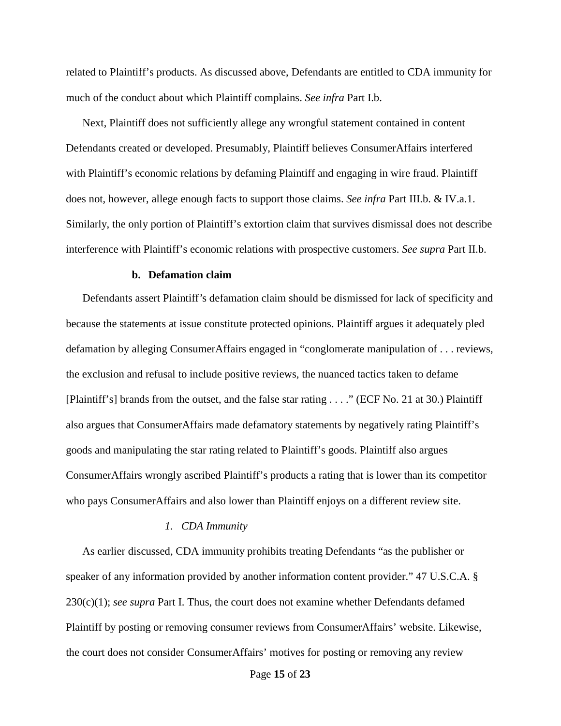related to Plaintiff's products. As discussed above, Defendants are entitled to CDA immunity for much of the conduct about which Plaintiff complains. *See infra* Part I.b.

Next, Plaintiff does not sufficiently allege any wrongful statement contained in content Defendants created or developed. Presumably, Plaintiff believes ConsumerAffairs interfered with Plaintiff's economic relations by defaming Plaintiff and engaging in wire fraud. Plaintiff does not, however, allege enough facts to support those claims. *See infra* Part III.b. & IV.a.1. Similarly, the only portion of Plaintiff's extortion claim that survives dismissal does not describe interference with Plaintiff's economic relations with prospective customers. *See supra* Part II.b.

# **b. Defamation claim**

Defendants assert Plaintiff's defamation claim should be dismissed for lack of specificity and because the statements at issue constitute protected opinions. Plaintiff argues it adequately pled defamation by alleging ConsumerAffairs engaged in "conglomerate manipulation of . . . reviews, the exclusion and refusal to include positive reviews, the nuanced tactics taken to defame [Plaintiff's] brands from the outset, and the false star rating . . . ." (ECF No. 21 at 30.) Plaintiff also argues that ConsumerAffairs made defamatory statements by negatively rating Plaintiff's goods and manipulating the star rating related to Plaintiff's goods. Plaintiff also argues ConsumerAffairs wrongly ascribed Plaintiff's products a rating that is lower than its competitor who pays ConsumerAffairs and also lower than Plaintiff enjoys on a different review site.

### *1. CDA Immunity*

As earlier discussed, CDA immunity prohibits treating Defendants "as the publisher or speaker of any information provided by another information content provider." 47 U.S.C.A. § 230(c)(1); *see supra* Part I. Thus, the court does not examine whether Defendants defamed Plaintiff by posting or removing consumer reviews from ConsumerAffairs' website. Likewise, the court does not consider ConsumerAffairs' motives for posting or removing any review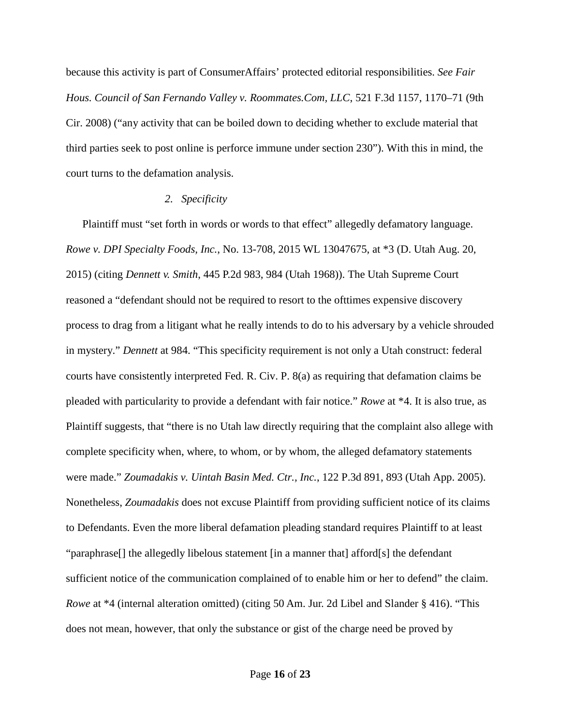because this activity is part of ConsumerAffairs' protected editorial responsibilities. *See Fair Hous. Council of San Fernando Valley v. Roommates.Com, LLC*, 521 F.3d 1157, 1170–71 (9th Cir. 2008) ("any activity that can be boiled down to deciding whether to exclude material that third parties seek to post online is perforce immune under section 230"). With this in mind, the court turns to the defamation analysis.

# *2. Specificity*

Plaintiff must "set forth in words or words to that effect" allegedly defamatory language. *Rowe v. DPI Specialty Foods, Inc.*, No. 13-708, 2015 WL 13047675, at \*3 (D. Utah Aug. 20, 2015) (citing *Dennett v. Smith*, 445 P.2d 983, 984 (Utah 1968)). The Utah Supreme Court reasoned a "defendant should not be required to resort to the ofttimes expensive discovery process to drag from a litigant what he really intends to do to his adversary by a vehicle shrouded in mystery." *Dennett* at 984. "This specificity requirement is not only a Utah construct: federal courts have consistently interpreted Fed. R. Civ. P. 8(a) as requiring that defamation claims be pleaded with particularity to provide a defendant with fair notice." *Rowe* at \*4. It is also true, as Plaintiff suggests, that "there is no Utah law directly requiring that the complaint also allege with complete specificity when, where, to whom, or by whom, the alleged defamatory statements were made." *Zoumadakis v. Uintah Basin Med. Ctr., Inc.*, 122 P.3d 891, 893 (Utah App. 2005). Nonetheless, *Zoumadakis* does not excuse Plaintiff from providing sufficient notice of its claims to Defendants. Even the more liberal defamation pleading standard requires Plaintiff to at least "paraphrase[] the allegedly libelous statement [in a manner that] afford[s] the defendant sufficient notice of the communication complained of to enable him or her to defend" the claim. *Rowe* at \*4 (internal alteration omitted) (citing 50 Am. Jur. 2d Libel and Slander § 416). "This does not mean, however, that only the substance or gist of the charge need be proved by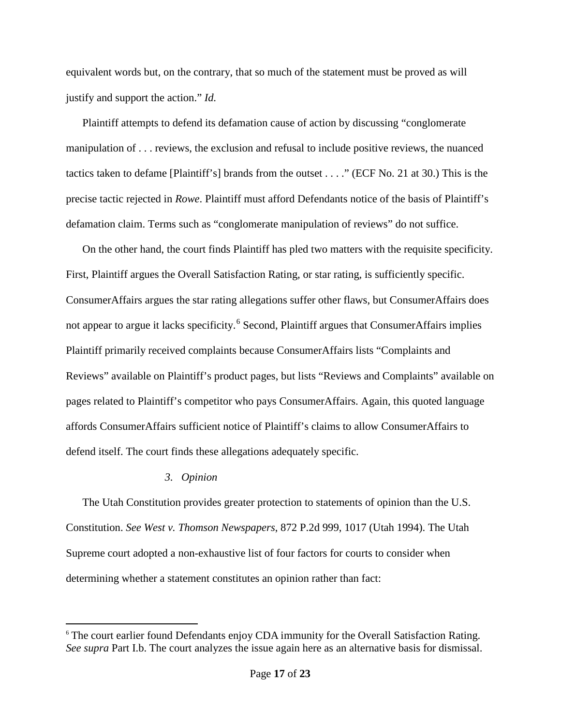equivalent words but, on the contrary, that so much of the statement must be proved as will justify and support the action." *Id.*

Plaintiff attempts to defend its defamation cause of action by discussing "conglomerate manipulation of . . . reviews, the exclusion and refusal to include positive reviews, the nuanced tactics taken to defame [Plaintiff's] brands from the outset . . . ." (ECF No. 21 at 30.) This is the precise tactic rejected in *Rowe*. Plaintiff must afford Defendants notice of the basis of Plaintiff's defamation claim. Terms such as "conglomerate manipulation of reviews" do not suffice.

On the other hand, the court finds Plaintiff has pled two matters with the requisite specificity. First, Plaintiff argues the Overall Satisfaction Rating, or star rating, is sufficiently specific. ConsumerAffairs argues the star rating allegations suffer other flaws, but ConsumerAffairs does not appear to argue it lacks specificity.<sup>[6](#page-16-0)</sup> Second, Plaintiff argues that ConsumerAffairs implies Plaintiff primarily received complaints because ConsumerAffairs lists "Complaints and Reviews" available on Plaintiff's product pages, but lists "Reviews and Complaints" available on pages related to Plaintiff's competitor who pays ConsumerAffairs. Again, this quoted language affords ConsumerAffairs sufficient notice of Plaintiff's claims to allow ConsumerAffairs to defend itself. The court finds these allegations adequately specific.

# *3. Opinion*

 $\overline{a}$ 

The Utah Constitution provides greater protection to statements of opinion than the U.S. Constitution. *See West v. Thomson Newspapers*, 872 P.2d 999, 1017 (Utah 1994). The Utah Supreme court adopted a non-exhaustive list of four factors for courts to consider when determining whether a statement constitutes an opinion rather than fact:

<span id="page-16-0"></span><sup>&</sup>lt;sup>6</sup> The court earlier found Defendants enjoy CDA immunity for the Overall Satisfaction Rating. *See supra* Part I.b. The court analyzes the issue again here as an alternative basis for dismissal.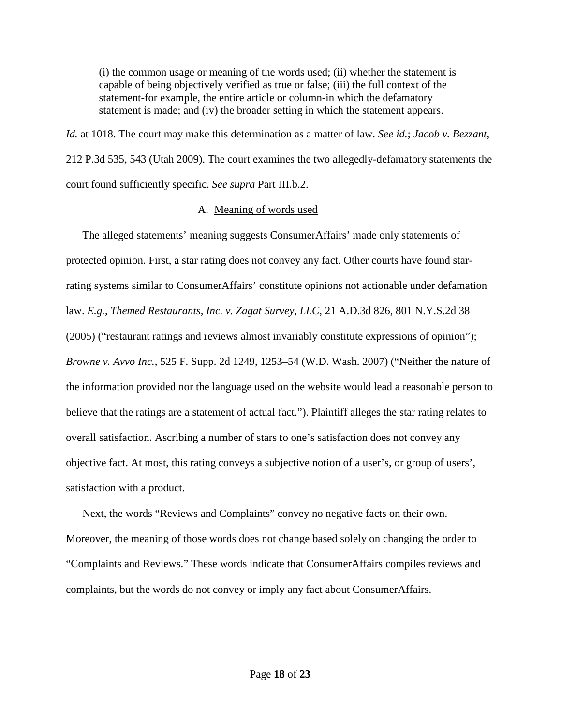(i) the common usage or meaning of the words used; (ii) whether the statement is capable of being objectively verified as true or false; (iii) the full context of the statement-for example, the entire article or column-in which the defamatory statement is made; and (iv) the broader setting in which the statement appears.

*Id.* at 1018. The court may make this determination as a matter of law. *See id.*; *Jacob v. Bezzant*, 212 P.3d 535, 543 (Utah 2009). The court examines the two allegedly-defamatory statements the court found sufficiently specific. *See supra* Part III.b.2.

### A. Meaning of words used

The alleged statements' meaning suggests ConsumerAffairs' made only statements of protected opinion. First, a star rating does not convey any fact. Other courts have found starrating systems similar to ConsumerAffairs' constitute opinions not actionable under defamation law. *E.g., Themed Restaurants, Inc. v. Zagat Survey, LLC*, 21 A.D.3d 826, 801 N.Y.S.2d 38 (2005) ("restaurant ratings and reviews almost invariably constitute expressions of opinion"); *Browne v. Avvo Inc.*, 525 F. Supp. 2d 1249, 1253–54 (W.D. Wash. 2007) ("Neither the nature of the information provided nor the language used on the website would lead a reasonable person to believe that the ratings are a statement of actual fact."). Plaintiff alleges the star rating relates to overall satisfaction. Ascribing a number of stars to one's satisfaction does not convey any objective fact. At most, this rating conveys a subjective notion of a user's, or group of users', satisfaction with a product.

Next, the words "Reviews and Complaints" convey no negative facts on their own. Moreover, the meaning of those words does not change based solely on changing the order to "Complaints and Reviews." These words indicate that ConsumerAffairs compiles reviews and complaints, but the words do not convey or imply any fact about ConsumerAffairs.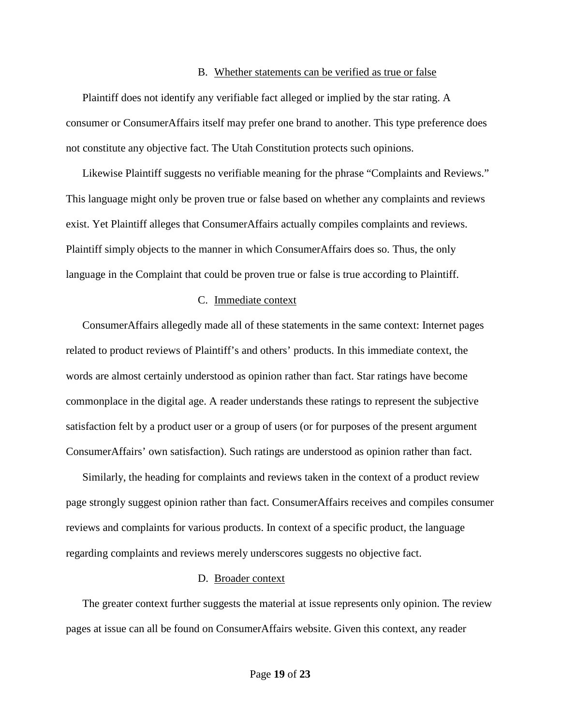#### B. Whether statements can be verified as true or false

Plaintiff does not identify any verifiable fact alleged or implied by the star rating. A consumer or ConsumerAffairs itself may prefer one brand to another. This type preference does not constitute any objective fact. The Utah Constitution protects such opinions.

Likewise Plaintiff suggests no verifiable meaning for the phrase "Complaints and Reviews." This language might only be proven true or false based on whether any complaints and reviews exist. Yet Plaintiff alleges that ConsumerAffairs actually compiles complaints and reviews. Plaintiff simply objects to the manner in which ConsumerAffairs does so. Thus, the only language in the Complaint that could be proven true or false is true according to Plaintiff.

### C. Immediate context

ConsumerAffairs allegedly made all of these statements in the same context: Internet pages related to product reviews of Plaintiff's and others' products. In this immediate context, the words are almost certainly understood as opinion rather than fact. Star ratings have become commonplace in the digital age. A reader understands these ratings to represent the subjective satisfaction felt by a product user or a group of users (or for purposes of the present argument ConsumerAffairs' own satisfaction). Such ratings are understood as opinion rather than fact.

Similarly, the heading for complaints and reviews taken in the context of a product review page strongly suggest opinion rather than fact. ConsumerAffairs receives and compiles consumer reviews and complaints for various products. In context of a specific product, the language regarding complaints and reviews merely underscores suggests no objective fact.

#### D. Broader context

The greater context further suggests the material at issue represents only opinion. The review pages at issue can all be found on ConsumerAffairs website. Given this context, any reader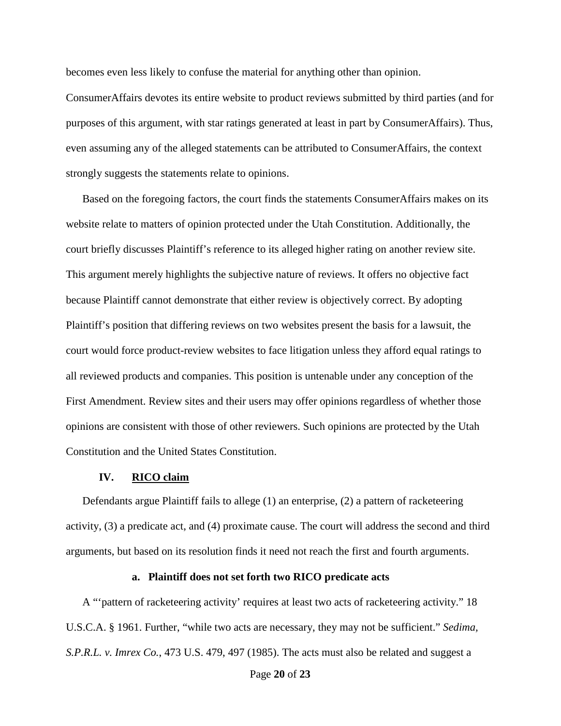becomes even less likely to confuse the material for anything other than opinion.

ConsumerAffairs devotes its entire website to product reviews submitted by third parties (and for purposes of this argument, with star ratings generated at least in part by ConsumerAffairs). Thus, even assuming any of the alleged statements can be attributed to ConsumerAffairs, the context strongly suggests the statements relate to opinions.

Based on the foregoing factors, the court finds the statements ConsumerAffairs makes on its website relate to matters of opinion protected under the Utah Constitution. Additionally, the court briefly discusses Plaintiff's reference to its alleged higher rating on another review site. This argument merely highlights the subjective nature of reviews. It offers no objective fact because Plaintiff cannot demonstrate that either review is objectively correct. By adopting Plaintiff's position that differing reviews on two websites present the basis for a lawsuit, the court would force product-review websites to face litigation unless they afford equal ratings to all reviewed products and companies. This position is untenable under any conception of the First Amendment. Review sites and their users may offer opinions regardless of whether those opinions are consistent with those of other reviewers. Such opinions are protected by the Utah Constitution and the United States Constitution.

# **IV. RICO claim**

Defendants argue Plaintiff fails to allege (1) an enterprise, (2) a pattern of racketeering activity, (3) a predicate act, and (4) proximate cause. The court will address the second and third arguments, but based on its resolution finds it need not reach the first and fourth arguments.

### **a. Plaintiff does not set forth two RICO predicate acts**

A "'pattern of racketeering activity' requires at least two acts of racketeering activity." 18 U.S.C.A. § 1961. Further, "while two acts are necessary, they may not be sufficient." *Sedima, S.P.R.L. v. Imrex Co.*, 473 U.S. 479, 497 (1985). The acts must also be related and suggest a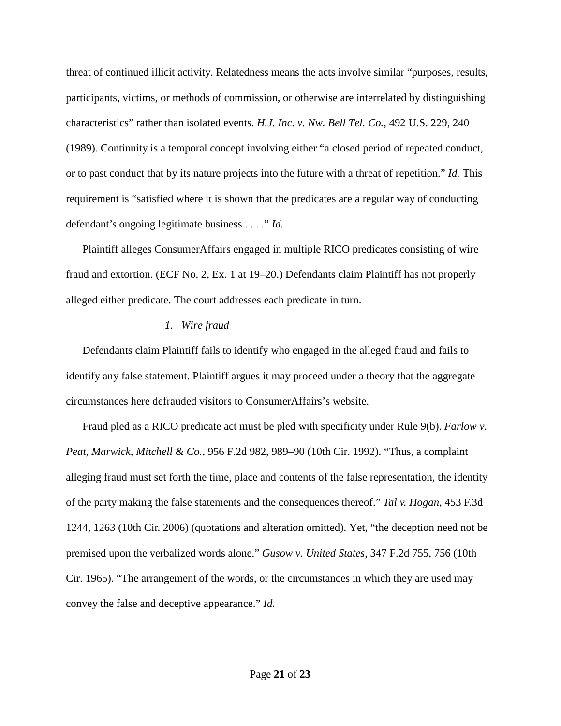threat of continued illicit activity. Relatedness means the acts involve similar "purposes, results, participants, victims, or methods of commission, or otherwise are interrelated by distinguishing characteristics" rather than isolated events. *H.J. Inc. v. Nw. Bell Tel. Co.*, 492 U.S. 229, 240 (1989). Continuity is a temporal concept involving either "a closed period of repeated conduct, or to past conduct that by its nature projects into the future with a threat of repetition." *Id.* This requirement is "satisfied where it is shown that the predicates are a regular way of conducting defendant's ongoing legitimate business . . . ." *Id.*

Plaintiff alleges ConsumerAffairs engaged in multiple RICO predicates consisting of wire fraud and extortion. (ECF No. 2, Ex. 1 at 19–20.) Defendants claim Plaintiff has not properly alleged either predicate. The court addresses each predicate in turn.

# *1. Wire fraud*

Defendants claim Plaintiff fails to identify who engaged in the alleged fraud and fails to identify any false statement. Plaintiff argues it may proceed under a theory that the aggregate circumstances here defrauded visitors to ConsumerAffairs's website.

Fraud pled as a RICO predicate act must be pled with specificity under Rule 9(b). *Farlow v. Peat, Marwick, Mitchell & Co.*, 956 F.2d 982, 989–90 (10th Cir. 1992). "Thus, a complaint alleging fraud must set forth the time, place and contents of the false representation, the identity of the party making the false statements and the consequences thereof." *Tal v. Hogan*, 453 F.3d 1244, 1263 (10th Cir. 2006) (quotations and alteration omitted). Yet, "the deception need not be premised upon the verbalized words alone." *Gusow v. United States*, 347 F.2d 755, 756 (10th Cir. 1965). "The arrangement of the words, or the circumstances in which they are used may convey the false and deceptive appearance." *Id.*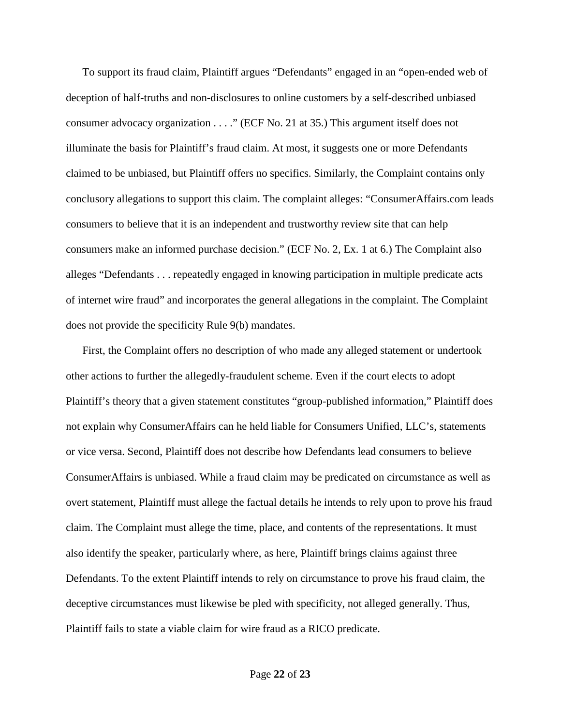To support its fraud claim, Plaintiff argues "Defendants" engaged in an "open-ended web of deception of half-truths and non-disclosures to online customers by a self-described unbiased consumer advocacy organization . . . ." (ECF No. 21 at 35.) This argument itself does not illuminate the basis for Plaintiff's fraud claim. At most, it suggests one or more Defendants claimed to be unbiased, but Plaintiff offers no specifics. Similarly, the Complaint contains only conclusory allegations to support this claim. The complaint alleges: "ConsumerAffairs.com leads consumers to believe that it is an independent and trustworthy review site that can help consumers make an informed purchase decision." (ECF No. 2, Ex. 1 at 6.) The Complaint also alleges "Defendants . . . repeatedly engaged in knowing participation in multiple predicate acts of internet wire fraud" and incorporates the general allegations in the complaint. The Complaint does not provide the specificity Rule 9(b) mandates.

First, the Complaint offers no description of who made any alleged statement or undertook other actions to further the allegedly-fraudulent scheme. Even if the court elects to adopt Plaintiff's theory that a given statement constitutes "group-published information," Plaintiff does not explain why ConsumerAffairs can he held liable for Consumers Unified, LLC's, statements or vice versa. Second, Plaintiff does not describe how Defendants lead consumers to believe ConsumerAffairs is unbiased. While a fraud claim may be predicated on circumstance as well as overt statement, Plaintiff must allege the factual details he intends to rely upon to prove his fraud claim. The Complaint must allege the time, place, and contents of the representations. It must also identify the speaker, particularly where, as here, Plaintiff brings claims against three Defendants. To the extent Plaintiff intends to rely on circumstance to prove his fraud claim, the deceptive circumstances must likewise be pled with specificity, not alleged generally. Thus, Plaintiff fails to state a viable claim for wire fraud as a RICO predicate.